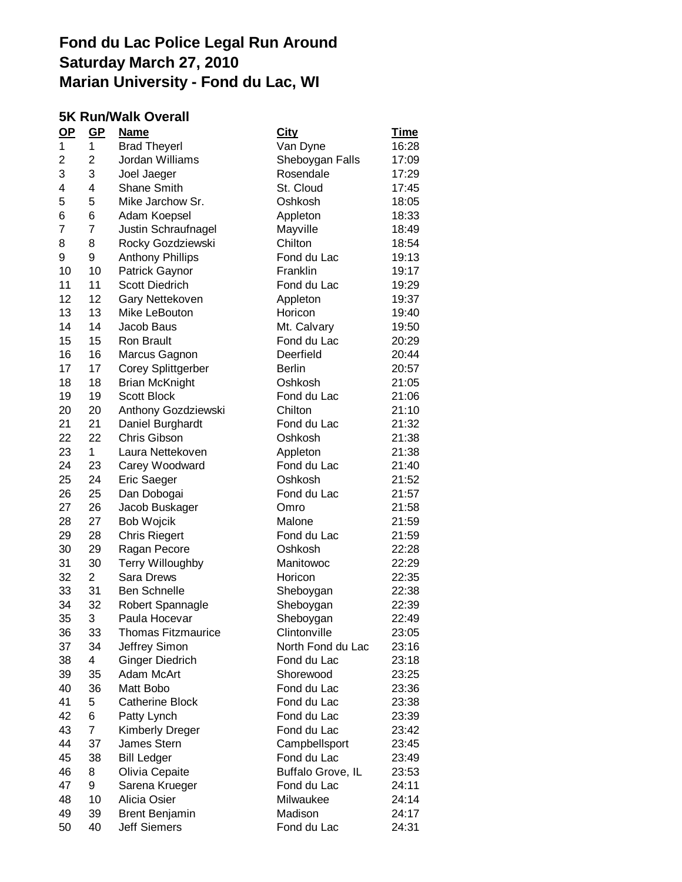#### **5K Run/Walk Overall**

| $\mathbf{Q}$ | $GP$           | <u>Name</u>               | <b>City</b>       | <u>Time</u> |
|--------------|----------------|---------------------------|-------------------|-------------|
| 1            | 1              | <b>Brad Theyerl</b>       | Van Dyne          | 16:28       |
| 2            | 2              | Jordan Williams           | Sheboygan Falls   | 17:09       |
| 3            | 3              | Joel Jaeger               | Rosendale         | 17:29       |
| 4            | 4              | <b>Shane Smith</b>        | St. Cloud         | 17:45       |
| 5            | 5              | Mike Jarchow Sr.          | Oshkosh           | 18:05       |
| 6            | 6              | Adam Koepsel              | Appleton          | 18:33       |
| 7            | $\overline{7}$ | Justin Schraufnagel       | Mayville          | 18:49       |
| 8            | 8              | Rocky Gozdziewski         | Chilton           | 18:54       |
| 9            | 9              | <b>Anthony Phillips</b>   | Fond du Lac       | 19:13       |
| 10           | 10             | Patrick Gaynor            | Franklin          | 19:17       |
| 11           | 11             | <b>Scott Diedrich</b>     | Fond du Lac       | 19:29       |
| 12           | 12             | Gary Nettekoven           | Appleton          | 19:37       |
| 13           | 13             | Mike LeBouton             | Horicon           | 19:40       |
| 14           | 14             | Jacob Baus                | Mt. Calvary       | 19:50       |
| 15           | 15             | <b>Ron Brault</b>         | Fond du Lac       | 20:29       |
| 16           | 16             | Marcus Gagnon             | Deerfield         | 20:44       |
| 17           | 17             | <b>Corey Splittgerber</b> | <b>Berlin</b>     | 20:57       |
| 18           | 18             | <b>Brian McKnight</b>     | Oshkosh           | 21:05       |
| 19           | 19             | <b>Scott Block</b>        | Fond du Lac       | 21:06       |
| 20           | 20             | Anthony Gozdziewski       | Chilton           | 21:10       |
| 21           | 21             | Daniel Burghardt          | Fond du Lac       | 21:32       |
| 22           | 22             | Chris Gibson              | Oshkosh           | 21:38       |
| 23           | $\mathbf 1$    | Laura Nettekoven          | Appleton          | 21:38       |
| 24           | 23             | Carey Woodward            | Fond du Lac       | 21:40       |
| 25           | 24             | Eric Saeger               | Oshkosh           | 21:52       |
| 26           | 25             | Dan Dobogai               | Fond du Lac       | 21:57       |
| 27           | 26             | Jacob Buskager            | Omro              | 21:58       |
| 28           | 27             | Bob Wojcik                | Malone            | 21:59       |
| 29           | 28             | <b>Chris Riegert</b>      | Fond du Lac       | 21:59       |
| 30           | 29             | Ragan Pecore              | Oshkosh           | 22:28       |
| 31           | 30             | <b>Terry Willoughby</b>   | Manitowoc         | 22:29       |
| 32           | $\overline{2}$ | <b>Sara Drews</b>         | Horicon           | 22:35       |
| 33           | 31             | <b>Ben Schnelle</b>       | Sheboygan         | 22:38       |
| 34           | 32             | Robert Spannagle          | Sheboygan         | 22:39       |
| 35           | 3              | Paula Hocevar             | Sheboygan         | 22:49       |
| 36           | 33             | <b>Thomas Fitzmaurice</b> | Clintonville      | 23:05       |
| 37           | 34             | Jeffrey Simon             | North Fond du Lac | 23:16       |
| 38           | $\overline{4}$ | <b>Ginger Diedrich</b>    | Fond du Lac       | 23:18       |
| 39           | 35             | Adam McArt                | Shorewood         | 23:25       |
| 40           | 36             | Matt Bobo                 | Fond du Lac       | 23:36       |
| 41           | 5              | <b>Catherine Block</b>    | Fond du Lac       | 23:38       |
| 42           | 6              | Patty Lynch               | Fond du Lac       | 23:39       |
| 43           | 7              | <b>Kimberly Dreger</b>    | Fond du Lac       | 23:42       |
| 44           | 37             | James Stern               | Campbellsport     | 23:45       |
| 45           | 38             | <b>Bill Ledger</b>        | Fond du Lac       | 23:49       |
| 46           | 8              | Olivia Cepaite            | Buffalo Grove, IL | 23:53       |
| 47           | 9              | Sarena Krueger            | Fond du Lac       | 24:11       |
| 48           | 10             | Alicia Osier              | Milwaukee         | 24:14       |
| 49           | 39             | Brent Benjamin            | Madison           | 24:17       |
| 50           | 40             | <b>Jeff Siemers</b>       | Fond du Lac       | 24:31       |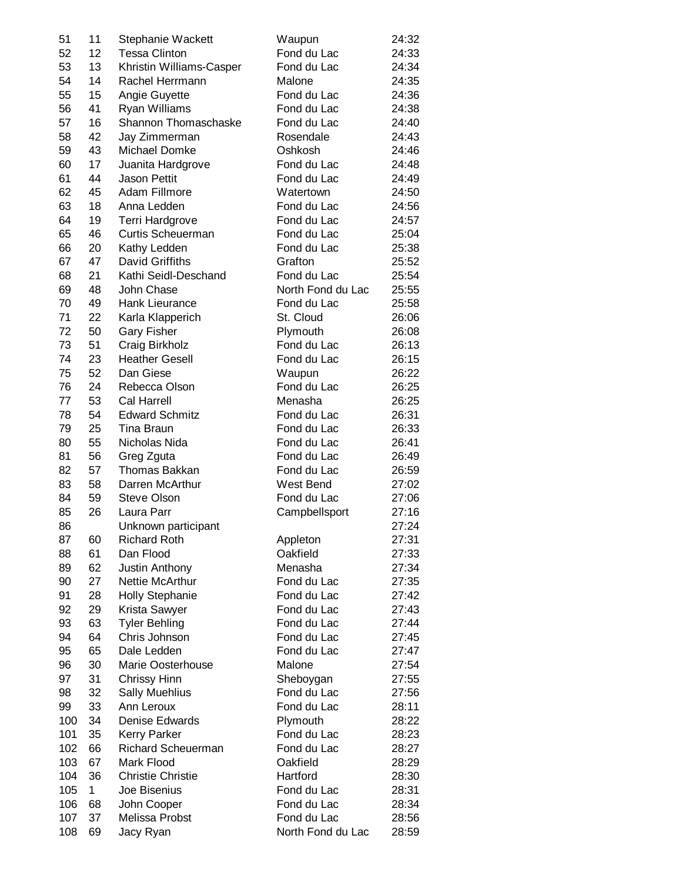| 51       | 11 | Stephanie Wackett            | Waupun                | 24:32 |
|----------|----|------------------------------|-----------------------|-------|
| 52       | 12 | <b>Tessa Clinton</b>         | Fond du Lac           | 24:33 |
| 53       | 13 | Khristin Williams-Casper     | Fond du Lac           | 24:34 |
| 54       | 14 | Rachel Herrmann              | Malone                | 24:35 |
| 55       | 15 | Angie Guyette                | Fond du Lac           | 24:36 |
| 56       | 41 | Ryan Williams                | Fond du Lac           | 24:38 |
| 57       | 16 | Shannon Thomaschaske         | Fond du Lac           | 24:40 |
| 58       | 42 | Jay Zimmerman                | Rosendale             | 24:43 |
| 59       | 43 | Michael Domke                | Oshkosh               | 24:46 |
| 60       | 17 | Juanita Hardgrove            | Fond du Lac           | 24:48 |
| 61       | 44 | <b>Jason Pettit</b>          | Fond du Lac           | 24:49 |
| 62       | 45 | Adam Fillmore                | Watertown             | 24:50 |
| 63       | 18 | Anna Ledden                  | Fond du Lac           | 24:56 |
| 64       | 19 | Terri Hardgrove              | Fond du Lac           | 24:57 |
| 65       | 46 | Curtis Scheuerman            | Fond du Lac           | 25:04 |
| 66       | 20 | Kathy Ledden                 | Fond du Lac           | 25:38 |
| 67       | 47 | David Griffiths              | Grafton               | 25:52 |
| 68       | 21 | Kathi Seidl-Deschand         | Fond du Lac           | 25:54 |
| 69       | 48 | John Chase                   | North Fond du Lac     | 25:55 |
| 70       | 49 | Hank Lieurance               | Fond du Lac           | 25:58 |
| 71       | 22 | Karla Klapperich             | St. Cloud             | 26:06 |
| 72       | 50 | <b>Gary Fisher</b>           | Plymouth              | 26:08 |
| 73       | 51 | Craig Birkholz               | Fond du Lac           | 26:13 |
| 74       | 23 | <b>Heather Gesell</b>        | Fond du Lac           | 26:15 |
|          | 52 | Dan Giese                    |                       |       |
| 75       | 24 |                              | Waupun<br>Fond du Lac | 26:22 |
| 76<br>77 | 53 | Rebecca Olson<br>Cal Harrell | Menasha               | 26:25 |
|          |    | <b>Edward Schmitz</b>        |                       | 26:25 |
| 78       | 54 |                              | Fond du Lac           | 26:31 |
| 79       | 25 | Tina Braun                   | Fond du Lac           | 26:33 |
| 80       | 55 | Nicholas Nida                | Fond du Lac           | 26:41 |
| 81       | 56 | Greg Zguta                   | Fond du Lac           | 26:49 |
| 82       | 57 | <b>Thomas Bakkan</b>         | Fond du Lac           | 26:59 |
| 83       | 58 | Darren McArthur              | West Bend             | 27:02 |
| 84       | 59 | <b>Steve Olson</b>           | Fond du Lac           | 27:06 |
| 85       | 26 | Laura Parr                   | Campbellsport         | 27:16 |
| 86       |    | Unknown participant          |                       | 27:24 |
| 87       | 60 | <b>Richard Roth</b>          | Appleton              | 27:31 |
| 88       | 61 | Dan Flood                    | Oakfield              | 27:33 |
| 89       | 62 | Justin Anthony               | Menasha               | 27:34 |
| 90       | 27 | <b>Nettie McArthur</b>       | Fond du Lac           | 27:35 |
| 91       | 28 | Holly Stephanie              | Fond du Lac           | 27:42 |
| 92       | 29 | Krista Sawyer                | Fond du Lac           | 27:43 |
| 93       | 63 | <b>Tyler Behling</b>         | Fond du Lac           | 27:44 |
| 94       | 64 | Chris Johnson                | Fond du Lac           | 27:45 |
| 95       | 65 | Dale Ledden                  | Fond du Lac           | 27:47 |
| 96       | 30 | Marie Oosterhouse            | Malone                | 27:54 |
| 97       | 31 | Chrissy Hinn                 | Sheboygan             | 27:55 |
| 98       | 32 | <b>Sally Muehlius</b>        | Fond du Lac           | 27:56 |
| 99       | 33 | Ann Leroux                   | Fond du Lac           | 28:11 |
| 100      | 34 | <b>Denise Edwards</b>        | Plymouth              | 28:22 |
| 101      | 35 | <b>Kerry Parker</b>          | Fond du Lac           | 28:23 |
| 102      | 66 | <b>Richard Scheuerman</b>    | Fond du Lac           | 28:27 |
| 103      | 67 | Mark Flood                   | Oakfield              | 28:29 |
| 104      | 36 | <b>Christie Christie</b>     | Hartford              | 28:30 |
| 105      | 1  | Joe Bisenius                 | Fond du Lac           | 28:31 |
| 106      | 68 | John Cooper                  | Fond du Lac           | 28:34 |
| 107      | 37 | Melissa Probst               | Fond du Lac           | 28:56 |
| 108      | 69 | Jacy Ryan                    | North Fond du Lac     | 28:59 |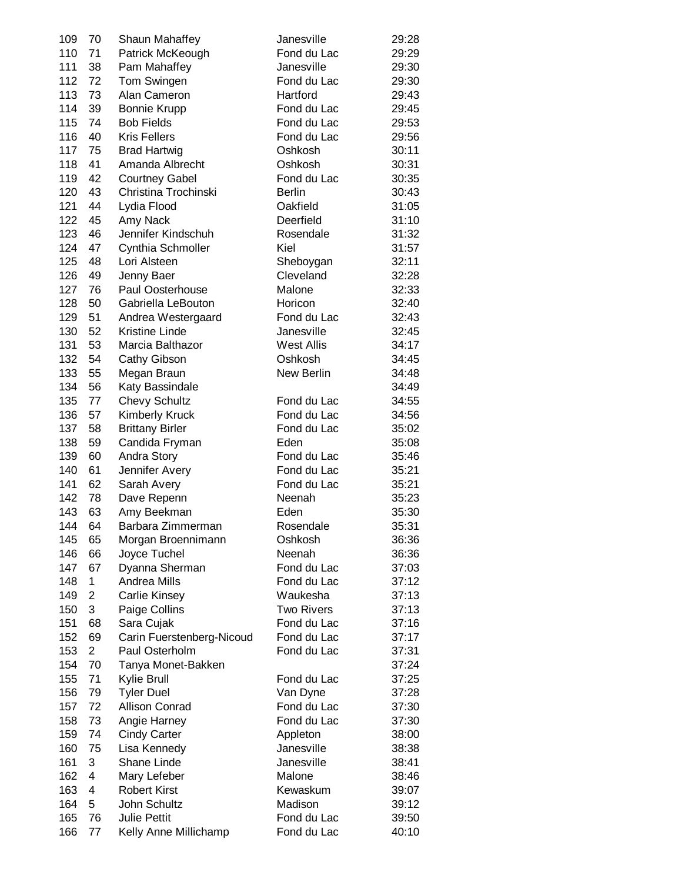| 109        | 70             | Shaun Mahaffey            | Janesville        | 29:28 |
|------------|----------------|---------------------------|-------------------|-------|
| 110        | 71             | Patrick McKeough          | Fond du Lac       | 29:29 |
| 111        | 38             | Pam Mahaffey              | Janesville        | 29:30 |
| 112        | 72             | Tom Swingen               | Fond du Lac       | 29:30 |
| 113        | 73             | Alan Cameron              | Hartford          | 29:43 |
| 114        | 39             | <b>Bonnie Krupp</b>       | Fond du Lac       | 29:45 |
| 115        | 74             | <b>Bob Fields</b>         | Fond du Lac       | 29:53 |
| 116        | 40             | <b>Kris Fellers</b>       | Fond du Lac       | 29:56 |
| 117        | 75             | <b>Brad Hartwig</b>       | Oshkosh           | 30:11 |
| 118        | 41             | Amanda Albrecht           | Oshkosh           | 30:31 |
| 119        | 42             | <b>Courtney Gabel</b>     | Fond du Lac       | 30:35 |
|            | 43             | Christina Trochinski      |                   |       |
| 120<br>121 |                |                           | <b>Berlin</b>     | 30:43 |
|            | 44             | Lydia Flood               | Oakfield          | 31:05 |
| 122        | 45             | Amy Nack                  | Deerfield         | 31:10 |
| 123        | 46             | Jennifer Kindschuh        | Rosendale         | 31:32 |
| 124        | 47             | Cynthia Schmoller         | Kiel              | 31:57 |
| 125        | 48             | Lori Alsteen              | Sheboygan         | 32:11 |
| 126        | 49             | Jenny Baer                | Cleveland         | 32:28 |
| 127        | 76             | Paul Oosterhouse          | Malone            | 32:33 |
| 128        | 50             | Gabriella LeBouton        | Horicon           | 32:40 |
| 129        | 51             | Andrea Westergaard        | Fond du Lac       | 32:43 |
| 130        | 52             | <b>Kristine Linde</b>     | Janesville        | 32:45 |
| 131        | 53             | Marcia Balthazor          | <b>West Allis</b> | 34:17 |
| 132        | 54             | Cathy Gibson              | Oshkosh           | 34:45 |
| 133        | 55             | Megan Braun               | New Berlin        | 34:48 |
| 134        | 56             | Katy Bassindale           |                   | 34:49 |
| 135        | 77             | <b>Chevy Schultz</b>      | Fond du Lac       | 34:55 |
| 136        | 57             | <b>Kimberly Kruck</b>     | Fond du Lac       | 34:56 |
| 137        | 58             | <b>Brittany Birler</b>    | Fond du Lac       | 35:02 |
| 138        | 59             | Candida Fryman            | Eden              | 35:08 |
| 139        | 60             | Andra Story               | Fond du Lac       | 35:46 |
| 140        | 61             | Jennifer Avery            | Fond du Lac       | 35:21 |
| 141        | 62             | Sarah Avery               | Fond du Lac       | 35:21 |
| 142        | 78             | Dave Repenn               | Neenah            | 35:23 |
| 143        | 63             | Amy Beekman               | Eden              | 35:30 |
| 144        | 64             | Barbara Zimmerman         | Rosendale         | 35:31 |
| 145        | 65             | Morgan Broennimann        | Oshkosh           | 36:36 |
| 146        | 66             | Joyce Tuchel              | Neenah            | 36:36 |
| 147        | 67             | Dyanna Sherman            | Fond du Lac       | 37:03 |
| 148        | 1              | Andrea Mills              | Fond du Lac       | 37:12 |
| 149        | 2              | <b>Carlie Kinsey</b>      | Waukesha          | 37:13 |
| 150        | 3              | Paige Collins             | <b>Two Rivers</b> | 37:13 |
| 151        | 68             | Sara Cujak                | Fond du Lac       | 37:16 |
| 152        | 69             | Carin Fuerstenberg-Nicoud | Fond du Lac       | 37:17 |
| 153        | $\overline{2}$ | Paul Osterholm            | Fond du Lac       | 37:31 |
| 154        | 70             | Tanya Monet-Bakken        |                   | 37:24 |
| 155        | 71             | Kylie Brull               | Fond du Lac       | 37:25 |
| 156        | 79             | <b>Tyler Duel</b>         | Van Dyne          | 37:28 |
| 157        | 72             | <b>Allison Conrad</b>     | Fond du Lac       | 37:30 |
| 158        | 73             | Angie Harney              | Fond du Lac       | 37:30 |
| 159        | 74             | <b>Cindy Carter</b>       | Appleton          | 38:00 |
| 160        | 75             |                           | Janesville        |       |
|            |                | Lisa Kennedy              | Janesville        | 38:38 |
| 161<br>162 | 3<br>4         | Shane Linde               | Malone            | 38:41 |
|            |                | Mary Lefeber              |                   | 38:46 |
| 163        | 4              | <b>Robert Kirst</b>       | Kewaskum          | 39:07 |
| 164        | 5              | John Schultz              | Madison           | 39:12 |
| 165        | 76             | <b>Julie Pettit</b>       | Fond du Lac       | 39:50 |
| 166        | 77             | Kelly Anne Millichamp     | Fond du Lac       | 40:10 |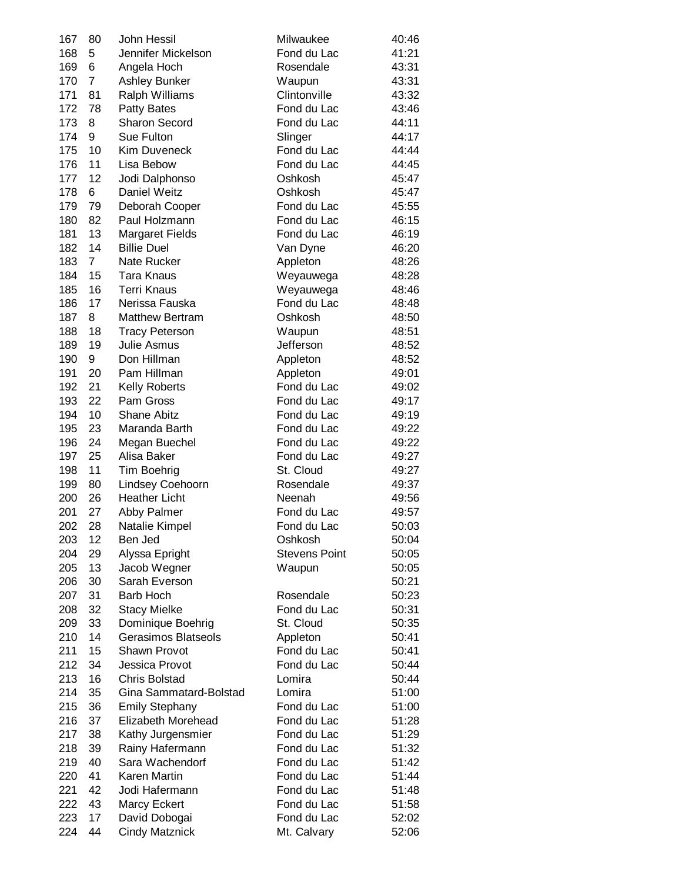| 167 | 80             | John Hessil            | Milwaukee            | 40:46 |
|-----|----------------|------------------------|----------------------|-------|
| 168 | 5              | Jennifer Mickelson     | Fond du Lac          | 41:21 |
| 169 | 6              | Angela Hoch            | Rosendale            | 43:31 |
| 170 | 7              | Ashley Bunker          | Waupun               | 43:31 |
| 171 | 81             | <b>Ralph Williams</b>  | Clintonville         | 43:32 |
| 172 | 78             | <b>Patty Bates</b>     | Fond du Lac          | 43:46 |
| 173 | 8              | <b>Sharon Secord</b>   | Fond du Lac          | 44:11 |
| 174 | 9              | Sue Fulton             | Slinger              | 44:17 |
| 175 | 10             | Kim Duveneck           | Fond du Lac          | 44:44 |
| 176 | 11             | Lisa Bebow             | Fond du Lac          | 44:45 |
| 177 | 12             | Jodi Dalphonso         | Oshkosh              | 45:47 |
| 178 | 6              | Daniel Weitz           | Oshkosh              |       |
|     |                |                        |                      | 45:47 |
| 179 | 79             | Deborah Cooper         | Fond du Lac          | 45:55 |
| 180 | 82             | Paul Holzmann          | Fond du Lac          | 46:15 |
| 181 | 13             | <b>Margaret Fields</b> | Fond du Lac          | 46:19 |
| 182 | 14             | <b>Billie Duel</b>     | Van Dyne             | 46:20 |
| 183 | $\overline{7}$ | Nate Rucker            | Appleton             | 48:26 |
| 184 | 15             | Tara Knaus             | Weyauwega            | 48:28 |
| 185 | 16             | <b>Terri Knaus</b>     | Weyauwega            | 48:46 |
| 186 | 17             | Nerissa Fauska         | Fond du Lac          | 48:48 |
| 187 | 8              | <b>Matthew Bertram</b> | Oshkosh              | 48:50 |
| 188 | 18             | <b>Tracy Peterson</b>  | Waupun               | 48:51 |
| 189 | 19             | <b>Julie Asmus</b>     | Jefferson            | 48:52 |
| 190 | 9              | Don Hillman            | Appleton             | 48:52 |
| 191 | 20             | Pam Hillman            | Appleton             | 49:01 |
| 192 | 21             | Kelly Roberts          | Fond du Lac          | 49:02 |
| 193 | 22             | Pam Gross              | Fond du Lac          | 49:17 |
| 194 | 10             | <b>Shane Abitz</b>     | Fond du Lac          | 49:19 |
| 195 | 23             | Maranda Barth          | Fond du Lac          | 49:22 |
| 196 | 24             | Megan Buechel          | Fond du Lac          | 49:22 |
| 197 | 25             | Alisa Baker            | Fond du Lac          | 49:27 |
| 198 | 11             | Tim Boehrig            | St. Cloud            | 49:27 |
| 199 | 80             | Lindsey Coehoorn       | Rosendale            | 49:37 |
| 200 | 26             | <b>Heather Licht</b>   | Neenah               | 49:56 |
| 201 | 27             | Abby Palmer            | Fond du Lac          | 49:57 |
| 202 | 28             | Natalie Kimpel         | Fond du Lac          | 50:03 |
| 203 | 12             | Ben Jed                | Oshkosh              | 50:04 |
| 204 | 29             | Alyssa Epright         | <b>Stevens Point</b> | 50:05 |
| 205 | 13             | Jacob Wegner           | Waupun               | 50:05 |
| 206 | 30             | Sarah Everson          |                      | 50:21 |
| 207 | 31             | <b>Barb Hoch</b>       | Rosendale            | 50:23 |
| 208 | 32             | <b>Stacy Mielke</b>    | Fond du Lac          | 50:31 |
| 209 | 33             | Dominique Boehrig      | St. Cloud            | 50:35 |
| 210 | 14             | Gerasimos Blatseols    | Appleton             | 50:41 |
| 211 | 15             | Shawn Provot           | Fond du Lac          | 50:41 |
| 212 | 34             | Jessica Provot         | Fond du Lac          | 50:44 |
| 213 | 16             | <b>Chris Bolstad</b>   | Lomira               | 50:44 |
| 214 | 35             | Gina Sammatard-Bolstad | Lomira               | 51:00 |
| 215 | 36             | <b>Emily Stephany</b>  | Fond du Lac          | 51:00 |
| 216 | 37             | Elizabeth Morehead     | Fond du Lac          | 51:28 |
| 217 | 38             | Kathy Jurgensmier      | Fond du Lac          | 51:29 |
| 218 | 39             | Rainy Hafermann        | Fond du Lac          | 51:32 |
| 219 | 40             | Sara Wachendorf        | Fond du Lac          | 51:42 |
| 220 | 41             | Karen Martin           | Fond du Lac          | 51:44 |
| 221 | 42             | Jodi Hafermann         | Fond du Lac          | 51:48 |
| 222 | 43             | Marcy Eckert           | Fond du Lac          | 51:58 |
| 223 | 17             | David Dobogai          | Fond du Lac          | 52:02 |
| 224 | 44             | <b>Cindy Matznick</b>  | Mt. Calvary          | 52:06 |
|     |                |                        |                      |       |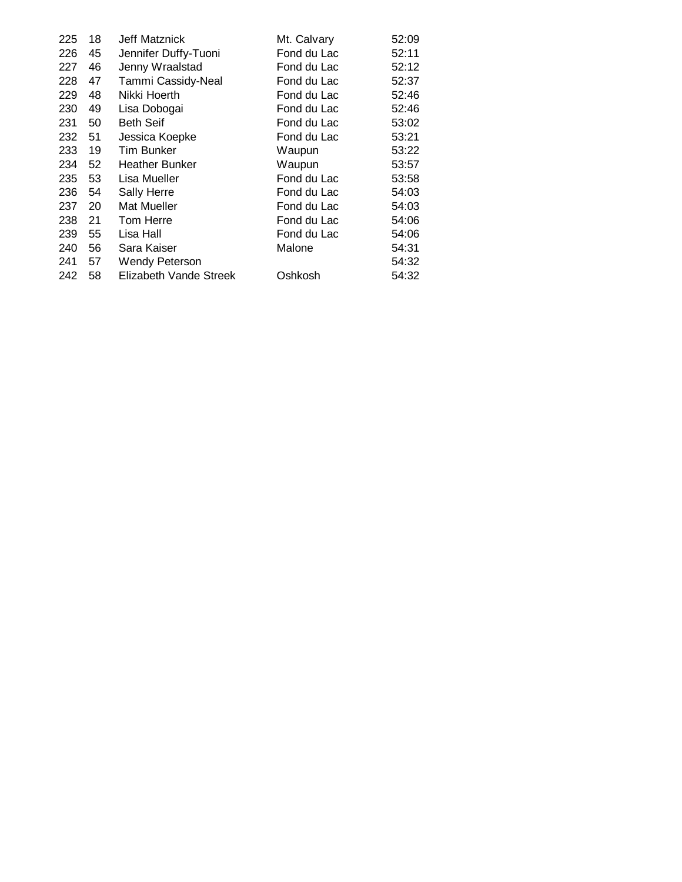| 225 | 18 | Jeff Matznick          | Mt. Calvary | 52:09 |
|-----|----|------------------------|-------------|-------|
| 226 | 45 | Jennifer Duffy-Tuoni   | Fond du Lac | 52:11 |
| 227 | 46 | Jenny Wraalstad        | Fond du Lac | 52:12 |
| 228 | 47 | Tammi Cassidy-Neal     | Fond du Lac | 52:37 |
| 229 | 48 | Nikki Hoerth           | Fond du Lac | 52:46 |
| 230 | 49 | Lisa Dobogai           | Fond du Lac | 52:46 |
| 231 | 50 | <b>Beth Seif</b>       | Fond du Lac | 53:02 |
| 232 | 51 | Jessica Koepke         | Fond du Lac | 53:21 |
| 233 | 19 | Tim Bunker             | Waupun      | 53:22 |
| 234 | 52 | Heather Bunker         | Waupun      | 53:57 |
| 235 | 53 | Lisa Mueller           | Fond du Lac | 53:58 |
| 236 | 54 | Sally Herre            | Fond du Lac | 54:03 |
| 237 | 20 | Mat Mueller            | Fond du Lac | 54:03 |
| 238 | 21 | Tom Herre              | Fond du Lac | 54:06 |
| 239 | 55 | Lisa Hall              | Fond du Lac | 54:06 |
| 240 | 56 | Sara Kaiser            | Malone      | 54:31 |
| 241 | 57 | <b>Wendy Peterson</b>  |             | 54:32 |
| 242 | 58 | Elizabeth Vande Streek | Oshkosh     | 54:32 |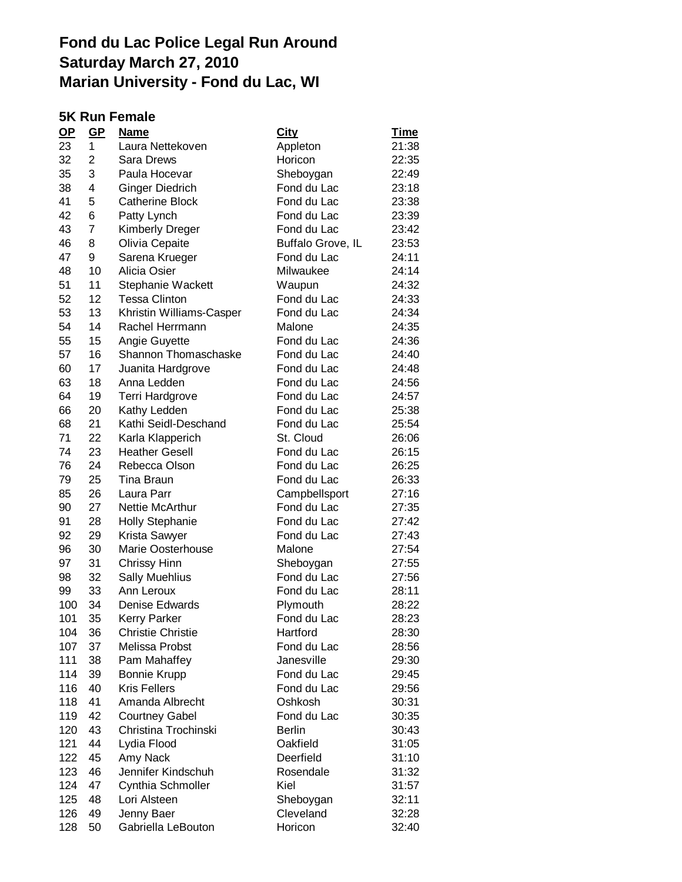### **5K Run Female**

| $OP$ | $GP$           | <b>Name</b>              | <b>City</b>       | <u>Time</u> |
|------|----------------|--------------------------|-------------------|-------------|
| 23   | 1              | Laura Nettekoven         | Appleton          | 21:38       |
| 32   | 2              | Sara Drews               | Horicon           | 22:35       |
| 35   | 3              | Paula Hocevar            | Sheboygan         | 22:49       |
| 38   | 4              | Ginger Diedrich          | Fond du Lac       | 23:18       |
| 41   | 5              | <b>Catherine Block</b>   | Fond du Lac       | 23:38       |
| 42   | 6              | Patty Lynch              | Fond du Lac       | 23:39       |
| 43   | $\overline{7}$ | <b>Kimberly Dreger</b>   | Fond du Lac       | 23:42       |
| 46   | 8              | Olivia Cepaite           | Buffalo Grove, IL | 23:53       |
| 47   | 9              | Sarena Krueger           | Fond du Lac       | 24:11       |
| 48   | 10             | Alicia Osier             | Milwaukee         | 24:14       |
| 51   | 11             | Stephanie Wackett        | Waupun            | 24:32       |
| 52   | 12             | Tessa Clinton            | Fond du Lac       | 24:33       |
| 53   | 13             | Khristin Williams-Casper | Fond du Lac       | 24:34       |
| 54   | 14             | Rachel Herrmann          | Malone            | 24:35       |
| 55   | 15             | Angie Guyette            | Fond du Lac       | 24:36       |
| 57   | 16             | Shannon Thomaschaske     | Fond du Lac       | 24:40       |
| 60   | 17             | Juanita Hardgrove        | Fond du Lac       | 24:48       |
| 63   | 18             | Anna Ledden              | Fond du Lac       | 24:56       |
| 64   | 19             | Terri Hardgrove          | Fond du Lac       | 24:57       |
| 66   | 20             | Kathy Ledden             | Fond du Lac       | 25:38       |
| 68   | 21             | Kathi Seidl-Deschand     | Fond du Lac       | 25:54       |
| 71   | 22             | Karla Klapperich         | St. Cloud         | 26:06       |
| 74   | 23             | <b>Heather Gesell</b>    | Fond du Lac       | 26:15       |
| 76   | 24             | Rebecca Olson            | Fond du Lac       | 26:25       |
| 79   | 25             | Tina Braun               | Fond du Lac       | 26:33       |
| 85   | 26             | Laura Parr               | Campbellsport     | 27:16       |
| 90   | 27             | <b>Nettie McArthur</b>   | Fond du Lac       | 27:35       |
| 91   | 28             | <b>Holly Stephanie</b>   | Fond du Lac       | 27:42       |
| 92   | 29             | Krista Sawyer            | Fond du Lac       | 27:43       |
| 96   | 30             | <b>Marie Oosterhouse</b> | Malone            | 27:54       |
| 97   | 31             | Chrissy Hinn             | Sheboygan         | 27:55       |
| 98   | 32             | <b>Sally Muehlius</b>    | Fond du Lac       | 27:56       |
| 99   | 33             | Ann Leroux               | Fond du Lac       | 28:11       |
| 100  | 34             | Denise Edwards           | Plymouth          | 28:22       |
| 101  | 35             | <b>Kerry Parker</b>      | Fond du Lac       | 28:23       |
| 104  | 36             | <b>Christie Christie</b> | Hartford          | 28:30       |
| 107  | 37             | Melissa Probst           | Fond du Lac       | 28:56       |
| 111  | 38             | Pam Mahaffey             | Janesville        | 29:30       |
| 114  | 39             | <b>Bonnie Krupp</b>      | Fond du Lac       | 29:45       |
| 116  | 40             | <b>Kris Fellers</b>      | Fond du Lac       | 29:56       |
| 118  | 41             | Amanda Albrecht          | Oshkosh           | 30:31       |
| 119  | 42             | <b>Courtney Gabel</b>    | Fond du Lac       | 30:35       |
| 120  | 43             | Christina Trochinski     | <b>Berlin</b>     | 30:43       |
| 121  | 44             | Lydia Flood              | Oakfield          | 31:05       |
| 122  | 45             | Amy Nack                 | Deerfield         | 31:10       |
| 123  | 46             | Jennifer Kindschuh       | Rosendale         | 31:32       |
| 124  | 47             | Cynthia Schmoller        | Kiel              | 31:57       |
| 125  | 48             | Lori Alsteen             | Sheboygan         | 32:11       |
| 126  | 49             | Jenny Baer               | Cleveland         | 32:28       |
| 128  | 50             | Gabriella LeBouton       | Horicon           | 32:40       |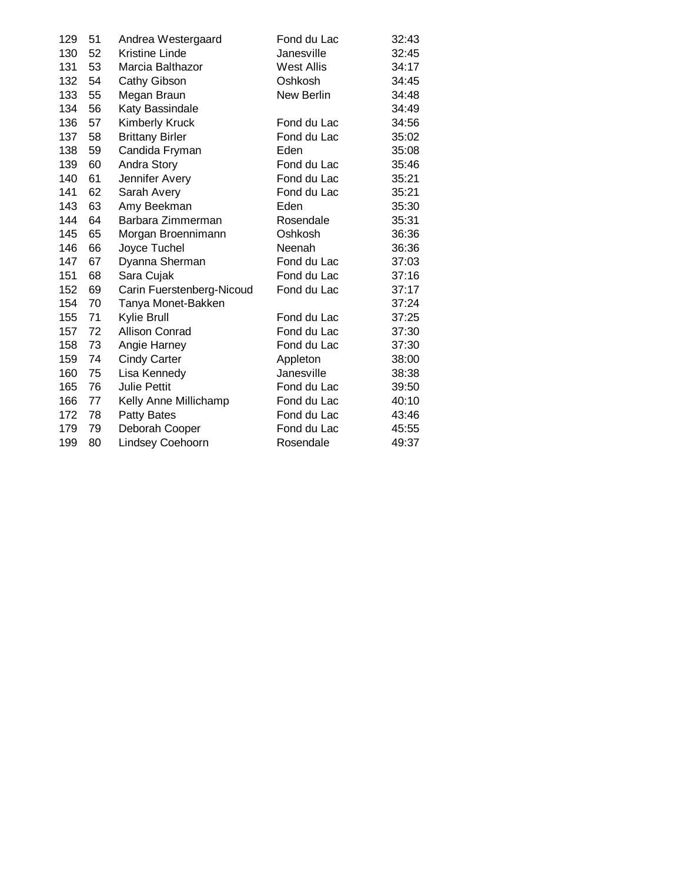| 129 | 51 | Andrea Westergaard        | Fond du Lac | 32:43 |
|-----|----|---------------------------|-------------|-------|
| 130 | 52 | <b>Kristine Linde</b>     | Janesville  | 32:45 |
| 131 | 53 | Marcia Balthazor          | West Allis  | 34:17 |
| 132 | 54 | Cathy Gibson              | Oshkosh     | 34:45 |
| 133 | 55 | Megan Braun               | New Berlin  | 34:48 |
| 134 | 56 | Katy Bassindale           |             | 34:49 |
| 136 | 57 | <b>Kimberly Kruck</b>     | Fond du Lac | 34:56 |
| 137 | 58 | <b>Brittany Birler</b>    | Fond du Lac | 35:02 |
| 138 | 59 | Candida Fryman            | Eden        | 35:08 |
| 139 | 60 | Andra Story               | Fond du Lac | 35:46 |
| 140 | 61 | Jennifer Avery            | Fond du Lac | 35:21 |
| 141 | 62 | Sarah Avery               | Fond du Lac | 35:21 |
| 143 | 63 | Amy Beekman               | Eden        | 35:30 |
| 144 | 64 | Barbara Zimmerman         | Rosendale   | 35:31 |
| 145 | 65 | Morgan Broennimann        | Oshkosh     | 36:36 |
| 146 | 66 | Joyce Tuchel              | Neenah      | 36:36 |
| 147 | 67 | Dyanna Sherman            | Fond du Lac | 37:03 |
| 151 | 68 | Sara Cujak                | Fond du Lac | 37:16 |
| 152 | 69 | Carin Fuerstenberg-Nicoud | Fond du Lac | 37:17 |
| 154 | 70 | Tanya Monet-Bakken        |             | 37:24 |
| 155 | 71 | Kylie Brull               | Fond du Lac | 37:25 |
| 157 | 72 | <b>Allison Conrad</b>     | Fond du Lac | 37:30 |
| 158 | 73 | Angie Harney              | Fond du Lac | 37:30 |
| 159 | 74 | <b>Cindy Carter</b>       | Appleton    | 38:00 |
| 160 | 75 | Lisa Kennedy              | Janesville  | 38:38 |
| 165 | 76 | <b>Julie Pettit</b>       | Fond du Lac | 39:50 |
| 166 | 77 | Kelly Anne Millichamp     | Fond du Lac | 40:10 |
| 172 | 78 | <b>Patty Bates</b>        | Fond du Lac | 43:46 |
| 179 | 79 | Deborah Cooper            | Fond du Lac | 45:55 |
| 199 | 80 | Lindsey Coehoorn          | Rosendale   | 49:37 |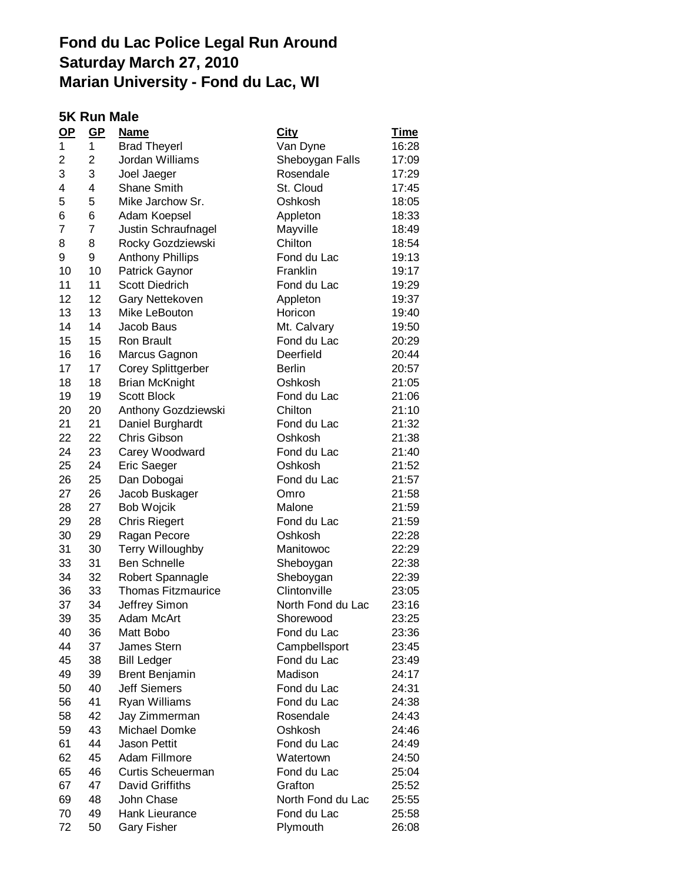#### **5K Run Male**

| $\Omega$ | GP             | <u>Name</u>               | City              | <u>Time</u> |
|----------|----------------|---------------------------|-------------------|-------------|
| 1        | 1              | <b>Brad Theyerl</b>       | Van Dyne          | 16:28       |
| 2        | 2              | Jordan Williams           | Sheboygan Falls   | 17:09       |
| 3        | 3              | Joel Jaeger               | Rosendale         | 17:29       |
| 4        | 4              | <b>Shane Smith</b>        | St. Cloud         | 17:45       |
| 5        | 5              | Mike Jarchow Sr.          | Oshkosh           | 18:05       |
| 6        | 6              | Adam Koepsel              | Appleton          | 18:33       |
| 7        | $\overline{7}$ | Justin Schraufnagel       | Mayville          | 18:49       |
| 8        | 8              | Rocky Gozdziewski         | Chilton           | 18:54       |
| 9        | 9              | <b>Anthony Phillips</b>   | Fond du Lac       | 19:13       |
| 10       | 10             | Patrick Gaynor            | Franklin          | 19:17       |
| 11       | 11             | <b>Scott Diedrich</b>     | Fond du Lac       | 19:29       |
| 12       | 12             | Gary Nettekoven           | Appleton          | 19:37       |
| 13       | 13             | Mike LeBouton             | Horicon           | 19:40       |
| 14       | 14             | Jacob Baus                | Mt. Calvary       | 19:50       |
| 15       | 15             | <b>Ron Brault</b>         | Fond du Lac       | 20:29       |
| 16       | 16             | Marcus Gagnon             | Deerfield         | 20:44       |
| 17       | 17             | <b>Corey Splittgerber</b> | <b>Berlin</b>     | 20:57       |
| 18       | 18             | <b>Brian McKnight</b>     | Oshkosh           | 21:05       |
| 19       | 19             | <b>Scott Block</b>        | Fond du Lac       | 21:06       |
| 20       | 20             | Anthony Gozdziewski       | Chilton           | 21:10       |
| 21       | 21             | Daniel Burghardt          | Fond du Lac       | 21:32       |
| 22       | 22             | Chris Gibson              | Oshkosh           | 21:38       |
| 24       | 23             | Carey Woodward            | Fond du Lac       | 21:40       |
| 25       | 24             | Eric Saeger               | Oshkosh           | 21:52       |
| 26       | 25             | Dan Dobogai               | Fond du Lac       | 21:57       |
| 27       | 26             | Jacob Buskager            | Omro              | 21:58       |
| 28       | 27             | Bob Wojcik                | Malone            | 21:59       |
| 29       | 28             | <b>Chris Riegert</b>      | Fond du Lac       | 21:59       |
| 30       | 29             | Ragan Pecore              | Oshkosh           | 22:28       |
| 31       | 30             | <b>Terry Willoughby</b>   | Manitowoc         | 22:29       |
| 33       | 31             | <b>Ben Schnelle</b>       | Sheboygan         | 22:38       |
| 34       | 32             | Robert Spannagle          | Sheboygan         | 22:39       |
| 36       | 33             | <b>Thomas Fitzmaurice</b> | Clintonville      | 23:05       |
| 37       | 34             | Jeffrey Simon             | North Fond du Lac | 23:16       |
| 39       | 35             | Adam McArt                | Shorewood         | 23:25       |
| 40       | 36             | Matt Bobo                 | Fond du Lac       | 23:36       |
| 44       | 37             | James Stern               | Campbellsport     | 23:45       |
| 45       | 38             | <b>Bill Ledger</b>        | Fond du Lac       | 23:49       |
| 49       | 39             | <b>Brent Benjamin</b>     | Madison           | 24:17       |
| 50       | 40             | <b>Jeff Siemers</b>       | Fond du Lac       | 24:31       |
| 56       | 41             | Ryan Williams             | Fond du Lac       | 24:38       |
| 58       | 42             | Jay Zimmerman             | Rosendale         | 24:43       |
| 59       | 43             | Michael Domke             | Oshkosh           | 24:46       |
| 61       | 44             | <b>Jason Pettit</b>       | Fond du Lac       | 24:49       |
| 62       | 45             | Adam Fillmore             | Watertown         | 24:50       |
| 65       | 46             | <b>Curtis Scheuerman</b>  | Fond du Lac       | 25:04       |
| 67       | 47             | David Griffiths           | Grafton           | 25:52       |
| 69       | 48             | John Chase                | North Fond du Lac | 25:55       |
| 70       | 49             | Hank Lieurance            | Fond du Lac       | 25:58       |
| 72       | 50             | <b>Gary Fisher</b>        | Plymouth          | 26:08       |
|          |                |                           |                   |             |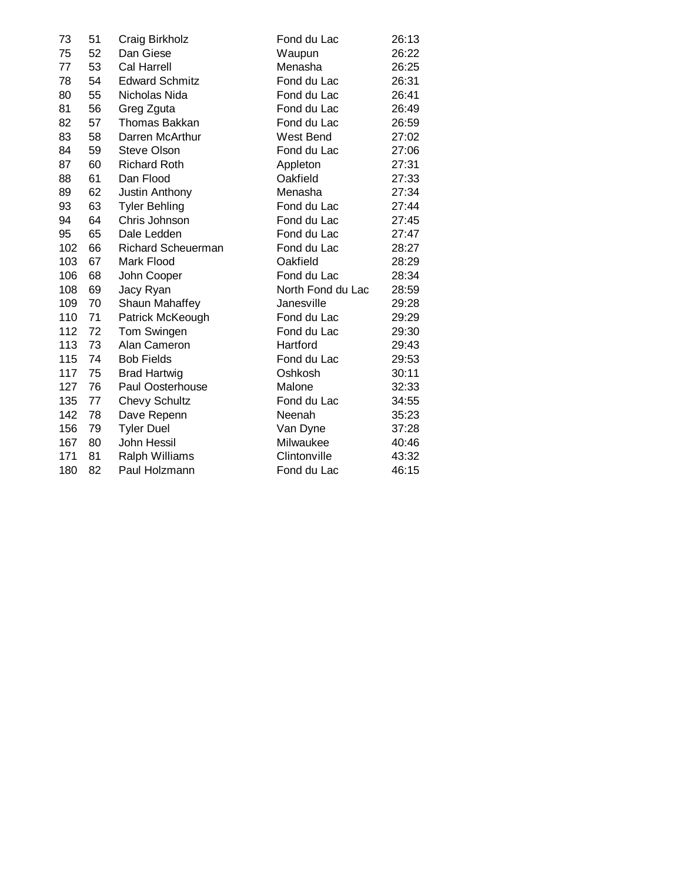| 73  | 51 | Craig Birkholz            | Fond du Lac       | 26:13 |
|-----|----|---------------------------|-------------------|-------|
| 75  | 52 | Dan Giese                 | Waupun            | 26:22 |
| 77  | 53 | <b>Cal Harrell</b>        | Menasha           | 26:25 |
| 78  | 54 | <b>Edward Schmitz</b>     | Fond du Lac       | 26:31 |
| 80  | 55 | Nicholas Nida             | Fond du Lac       | 26:41 |
| 81  | 56 | Greg Zguta                | Fond du Lac       | 26:49 |
| 82  | 57 | <b>Thomas Bakkan</b>      | Fond du Lac       | 26:59 |
| 83  | 58 | Darren McArthur           | <b>West Bend</b>  | 27:02 |
| 84  | 59 | <b>Steve Olson</b>        | Fond du Lac       | 27:06 |
| 87  | 60 | <b>Richard Roth</b>       | Appleton          | 27:31 |
| 88  | 61 | Dan Flood                 | Oakfield          | 27:33 |
| 89  | 62 | Justin Anthony            | Menasha           | 27:34 |
| 93  | 63 | <b>Tyler Behling</b>      | Fond du Lac       | 27:44 |
| 94  | 64 | Chris Johnson             | Fond du Lac       | 27:45 |
| 95  | 65 | Dale Ledden               | Fond du Lac       | 27:47 |
| 102 | 66 | <b>Richard Scheuerman</b> | Fond du Lac       | 28:27 |
| 103 | 67 | Mark Flood                | Oakfield          | 28:29 |
| 106 | 68 | John Cooper               | Fond du Lac       | 28:34 |
| 108 | 69 | Jacy Ryan                 | North Fond du Lac | 28:59 |
| 109 | 70 | Shaun Mahaffey            | Janesville        | 29:28 |
| 110 | 71 | Patrick McKeough          | Fond du Lac       | 29:29 |
| 112 | 72 | Tom Swingen               | Fond du Lac       | 29:30 |
| 113 | 73 | Alan Cameron              | Hartford          | 29:43 |
| 115 | 74 | <b>Bob Fields</b>         | Fond du Lac       | 29:53 |
| 117 | 75 | <b>Brad Hartwig</b>       | Oshkosh           | 30:11 |
| 127 | 76 | Paul Oosterhouse          | Malone            | 32:33 |
| 135 | 77 | <b>Chevy Schultz</b>      | Fond du Lac       | 34:55 |
| 142 | 78 | Dave Repenn               | Neenah            | 35:23 |
| 156 | 79 | <b>Tyler Duel</b>         | Van Dyne          | 37:28 |
| 167 | 80 | John Hessil               | Milwaukee         | 40:46 |
| 171 | 81 | Ralph Williams            | Clintonville      | 43:32 |
| 180 | 82 | Paul Holzmann             | Fond du Lac       | 46:15 |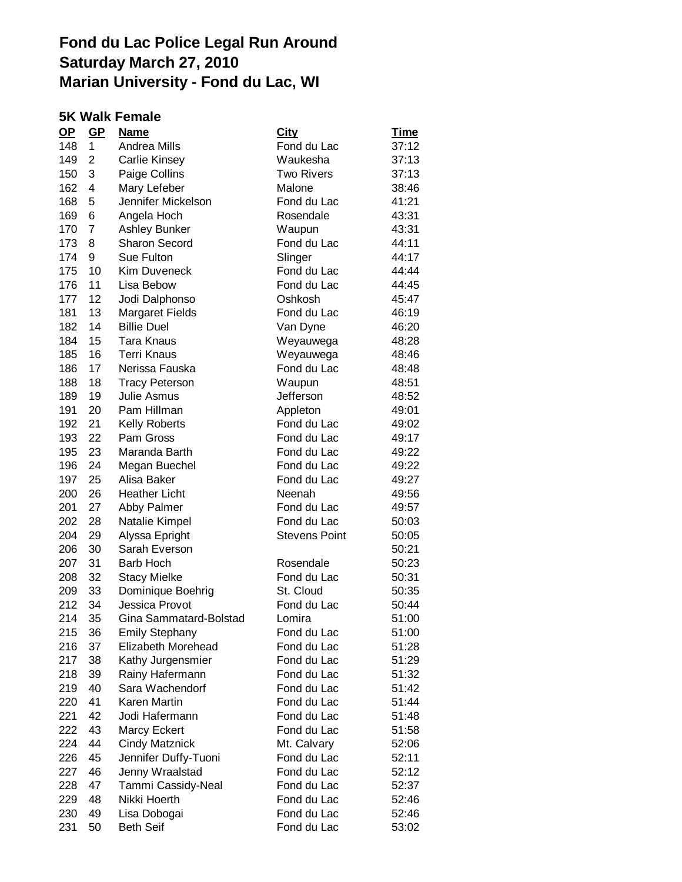#### **5K Walk Female**

| $OP$ | $GP$           | <b>Name</b>            | <u>City</u>          | <u>Time</u> |
|------|----------------|------------------------|----------------------|-------------|
| 148  | 1              | Andrea Mills           | Fond du Lac          | 37:12       |
| 149  | $\overline{c}$ | Carlie Kinsey          | Waukesha             | 37:13       |
| 150  | 3              | Paige Collins          | <b>Two Rivers</b>    | 37:13       |
| 162  | 4              | Mary Lefeber           | Malone               | 38:46       |
| 168  | 5              | Jennifer Mickelson     | Fond du Lac          | 41:21       |
| 169  | 6              | Angela Hoch            | Rosendale            | 43:31       |
| 170  | $\overline{7}$ | <b>Ashley Bunker</b>   | Waupun               | 43:31       |
| 173  | 8              | <b>Sharon Secord</b>   | Fond du Lac          | 44:11       |
| 174  | 9              | Sue Fulton             | Slinger              | 44:17       |
| 175  | 10             | <b>Kim Duveneck</b>    | Fond du Lac          | 44:44       |
| 176  | 11             | Lisa Bebow             | Fond du Lac          | 44:45       |
| 177  | 12             | Jodi Dalphonso         | Oshkosh              | 45:47       |
| 181  | 13             | <b>Margaret Fields</b> | Fond du Lac          | 46:19       |
| 182  | 14             | <b>Billie Duel</b>     | Van Dyne             | 46:20       |
| 184  | 15             | <b>Tara Knaus</b>      | Weyauwega            | 48:28       |
| 185  | 16             | <b>Terri Knaus</b>     | Weyauwega            | 48:46       |
| 186  | 17             | Nerissa Fauska         | Fond du Lac          | 48:48       |
| 188  | 18             | <b>Tracy Peterson</b>  | Waupun               | 48:51       |
| 189  | 19             | Julie Asmus            | Jefferson            | 48:52       |
| 191  | 20             | Pam Hillman            | Appleton             | 49:01       |
| 192  | 21             | <b>Kelly Roberts</b>   | Fond du Lac          | 49:02       |
| 193  | 22             | Pam Gross              | Fond du Lac          | 49:17       |
| 195  | 23             | Maranda Barth          | Fond du Lac          | 49:22       |
| 196  | 24             | Megan Buechel          | Fond du Lac          | 49:22       |
| 197  | 25             | Alisa Baker            | Fond du Lac          | 49:27       |
| 200  | 26             | <b>Heather Licht</b>   | Neenah               | 49:56       |
| 201  | 27             | Abby Palmer            | Fond du Lac          | 49:57       |
| 202  | 28             | Natalie Kimpel         | Fond du Lac          | 50:03       |
| 204  | 29             | Alyssa Epright         | <b>Stevens Point</b> | 50:05       |
| 206  | 30             | Sarah Everson          |                      | 50:21       |
| 207  | 31             | <b>Barb Hoch</b>       | Rosendale            | 50:23       |
| 208  | 32             | <b>Stacy Mielke</b>    | Fond du Lac          | 50:31       |
| 209  | 33             | Dominique Boehrig      | St. Cloud            | 50:35       |
| 212  | 34             | Jessica Provot         | Fond du Lac          | 50:44       |
| 214  | 35             | Gina Sammatard-Bolstad | Lomira               | 51:00       |
| 215  | 36             | <b>Emily Stephany</b>  | Fond du Lac          | 51:00       |
| 216  | 37             | Elizabeth Morehead     | Fond du Lac          | 51:28       |
| 217  | 38             | Kathy Jurgensmier      | Fond du Lac          | 51:29       |
| 218  | 39             | Rainy Hafermann        | Fond du Lac          | 51:32       |
| 219  | 40             | Sara Wachendorf        | Fond du Lac          | 51:42       |
| 220  | 41             | Karen Martin           | Fond du Lac          | 51:44       |
| 221  | 42             | Jodi Hafermann         | Fond du Lac          | 51:48       |
| 222  | 43             | <b>Marcy Eckert</b>    | Fond du Lac          | 51:58       |
| 224  | 44             | <b>Cindy Matznick</b>  | Mt. Calvary          | 52:06       |
| 226  | 45             | Jennifer Duffy-Tuoni   | Fond du Lac          | 52:11       |
| 227  | 46             | Jenny Wraalstad        | Fond du Lac          | 52:12       |
| 228  | 47             | Tammi Cassidy-Neal     | Fond du Lac          | 52:37       |
| 229  | 48             | Nikki Hoerth           | Fond du Lac          | 52:46       |
| 230  | 49             | Lisa Dobogai           | Fond du Lac          | 52:46       |
| 231  | 50             | <b>Beth Seif</b>       | Fond du Lac          | 53:02       |
|      |                |                        |                      |             |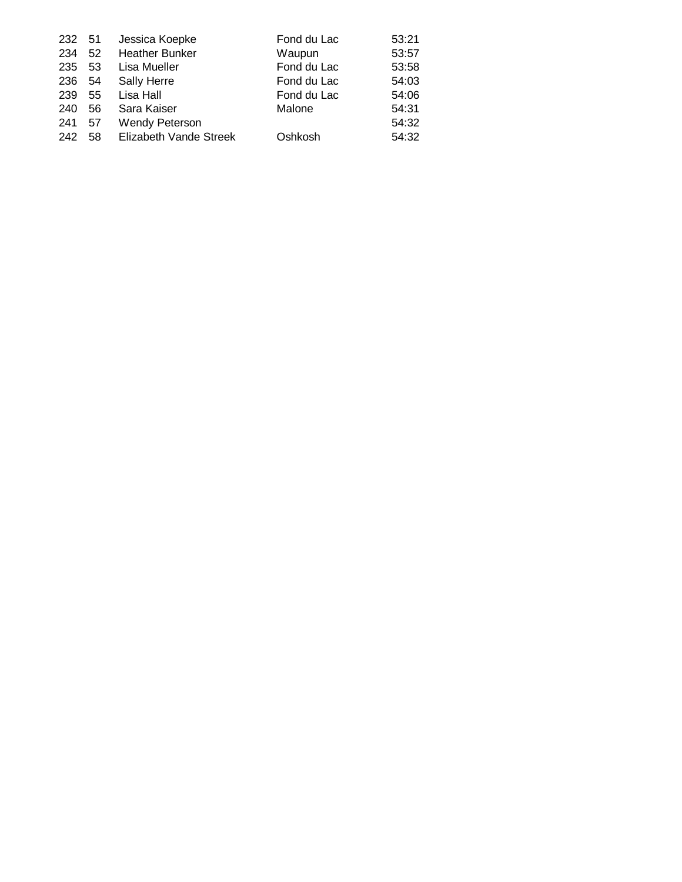| 232 | -51 | Jessica Koepke         | Fond du Lac | 53:21 |
|-----|-----|------------------------|-------------|-------|
| 234 | 52  | <b>Heather Bunker</b>  | Waupun      | 53:57 |
| 235 | 53  | Lisa Mueller           | Fond du Lac | 53:58 |
| 236 | 54  | Sally Herre            | Fond du Lac | 54:03 |
| 239 | 55  | Lisa Hall              | Fond du Lac | 54:06 |
| 240 | 56  | Sara Kaiser            | Malone      | 54:31 |
| 241 | 57  | <b>Wendy Peterson</b>  |             | 54:32 |
| 242 | 58  | Elizabeth Vande Streek | Oshkosh     | 54:32 |
|     |     |                        |             |       |